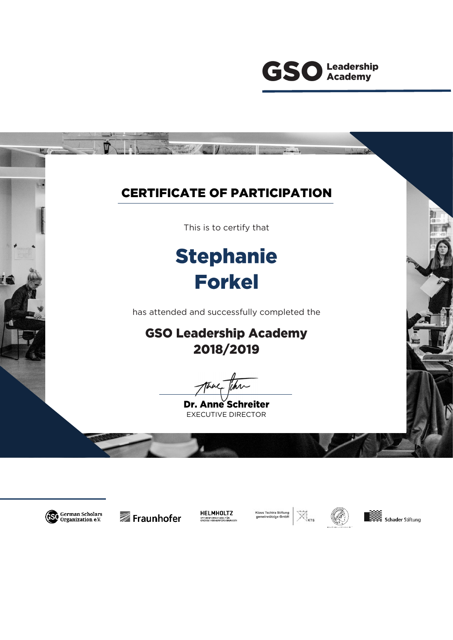





Fraunhofer



Klaus Tschira Stiftung<br>gemeinnützige GmbH



 $\boxtimes_{\text{\tiny kts}}$ 

Schader Stiftung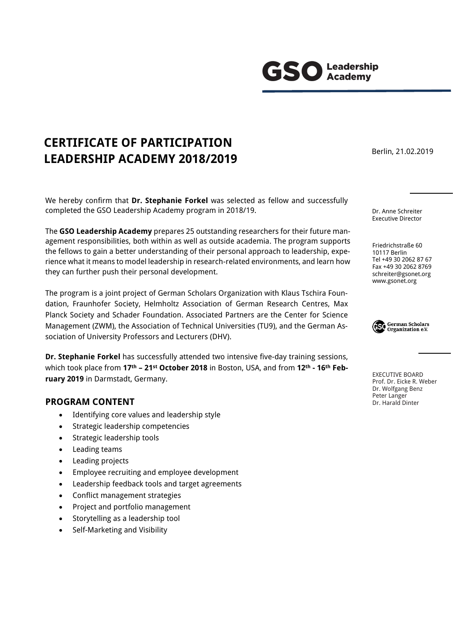We hereby confirm that **Dr. Stephanie Forkel** was selected as fellow and successfully

completed the GSO Leadership Academy program in 2018/19.

**CERTIFICATE OF PARTICIPATION** 

**LEADERSHIP ACADEMY 2018/2019**

The **GSO Leadership Academy** prepares 25 outstanding researchers for their future management responsibilities, both within as well as outside academia. The program supports the fellows to gain a better understanding of their personal approach to leadership, experience what it means to model leadership in research-related environments, and learn how they can further push their personal development.

The program is a joint project of German Scholars Organization with Klaus Tschira Foundation, Fraunhofer Society, Helmholtz Association of German Research Centres, Max Planck Society and Schader Foundation. Associated Partners are the Center for Science Management (ZWM), the Association of Technical Universities (TU9), and the German Association of University Professors and Lecturers (DHV).

**Dr. Stephanie Forkel** has successfully attended two intensive five-day training sessions, which took place from **17 th – 21st October 2018** in Boston, USA, and from **12th - 16th February 2019** in Darmstadt, Germany.

## **PROGRAM CONTENT**

- Identifying core values and leadership style
- Strategic leadership competencies
- Strategic leadership tools
- Leading teams
- Leading projects
- Employee recruiting and employee development
- Leadership feedback tools and target agreements
- Conflict management strategies
- Project and portfolio management
- Storytelling as a leadership tool
- Self-Marketing and Visibility

Berlin, 21.02.2019

Dr. Anne Schreiter Executive Director

Friedrichstraße 60 10117 Berlin Tel +49 30 2062 87 67 Fax +49 30 2062 8769 schreiter@gsonet.org www.gsonet.org



EXECUTIVE BOARD Prof. Dr. Eicke R. Weber Dr. Wolfgang Benz Peter Langer Dr. Harald Dinter